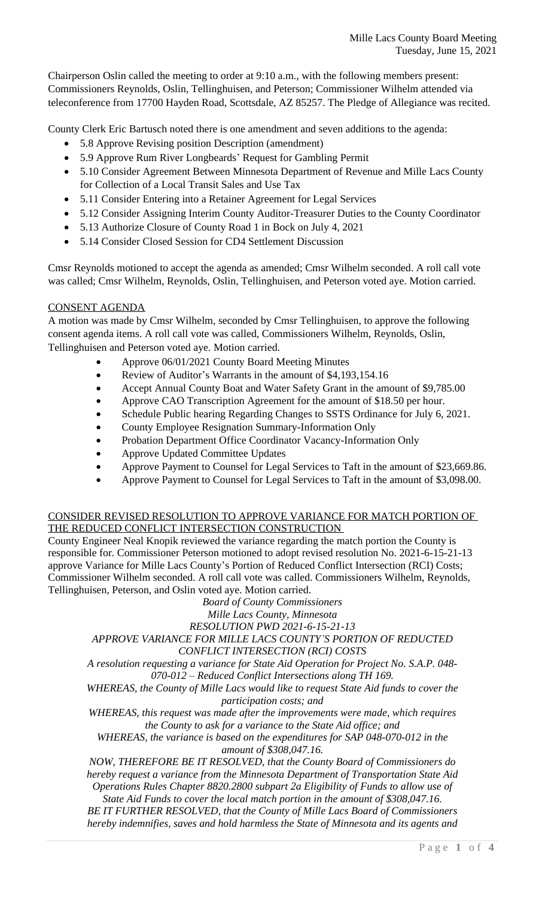Chairperson Oslin called the meeting to order at 9:10 a.m., with the following members present: Commissioners Reynolds, Oslin, Tellinghuisen, and Peterson; Commissioner Wilhelm attended via teleconference from 17700 Hayden Road, Scottsdale, AZ 85257. The Pledge of Allegiance was recited.

County Clerk Eric Bartusch noted there is one amendment and seven additions to the agenda:

- 5.8 Approve Revising position Description (amendment)
- 5.9 Approve Rum River Longbeards' Request for Gambling Permit
- 5.10 Consider Agreement Between Minnesota Department of Revenue and Mille Lacs County for Collection of a Local Transit Sales and Use Tax
- 5.11 Consider Entering into a Retainer Agreement for Legal Services
- 5.12 Consider Assigning Interim County Auditor-Treasurer Duties to the County Coordinator
- 5.13 Authorize Closure of County Road 1 in Bock on July 4, 2021
- 5.14 Consider Closed Session for CD4 Settlement Discussion

Cmsr Reynolds motioned to accept the agenda as amended; Cmsr Wilhelm seconded. A roll call vote was called; Cmsr Wilhelm, Reynolds, Oslin, Tellinghuisen, and Peterson voted aye. Motion carried.

## CONSENT AGENDA

A motion was made by Cmsr Wilhelm, seconded by Cmsr Tellinghuisen, to approve the following consent agenda items. A roll call vote was called, Commissioners Wilhelm, Reynolds, Oslin, Tellinghuisen and Peterson voted aye. Motion carried.

- Approve 06/01/2021 County Board Meeting Minutes
- Review of Auditor's Warrants in the amount of \$4,193,154.16
- Accept Annual County Boat and Water Safety Grant in the amount of \$9,785.00
- Approve CAO Transcription Agreement for the amount of \$18.50 per hour.
- Schedule Public hearing Regarding Changes to SSTS Ordinance for July 6, 2021.
- County Employee Resignation Summary-Information Only
- Probation Department Office Coordinator Vacancy-Information Only
- Approve Updated Committee Updates
- Approve Payment to Counsel for Legal Services to Taft in the amount of \$23,669.86.
- Approve Payment to Counsel for Legal Services to Taft in the amount of \$3,098.00.

## CONSIDER REVISED RESOLUTION TO APPROVE VARIANCE FOR MATCH PORTION OF THE REDUCED CONFLICT INTERSECTION CONSTRUCTION

County Engineer Neal Knopik reviewed the variance regarding the match portion the County is responsible for. Commissioner Peterson motioned to adopt revised resolution No. 2021-6-15-21-13 approve Variance for Mille Lacs County's Portion of Reduced Conflict Intersection (RCI) Costs; Commissioner Wilhelm seconded. A roll call vote was called. Commissioners Wilhelm, Reynolds, Tellinghuisen, Peterson, and Oslin voted aye. Motion carried.

*Board of County Commissioners*

*Mille Lacs County, Minnesota*

*RESOLUTION PWD 2021-6-15-21-13*

*APPROVE VARIANCE FOR MILLE LACS COUNTY'S PORTION OF REDUCTED CONFLICT INTERSECTION (RCI) COSTS*

*A resolution requesting a variance for State Aid Operation for Project No. S.A.P. 048- 070-012 – Reduced Conflict Intersections along TH 169.*

*WHEREAS, the County of Mille Lacs would like to request State Aid funds to cover the participation costs; and*

*WHEREAS, this request was made after the improvements were made, which requires the County to ask for a variance to the State Aid office; and*

*WHEREAS, the variance is based on the expenditures for SAP 048-070-012 in the amount of \$308,047.16.*

*NOW, THEREFORE BE IT RESOLVED, that the County Board of Commissioners do hereby request a variance from the Minnesota Department of Transportation State Aid Operations Rules Chapter 8820.2800 subpart 2a Eligibility of Funds to allow use of*

*State Aid Funds to cover the local match portion in the amount of \$308,047.16.*

*BE IT FURTHER RESOLVED, that the County of Mille Lacs Board of Commissioners hereby indemnifies, saves and hold harmless the State of Minnesota and its agents and*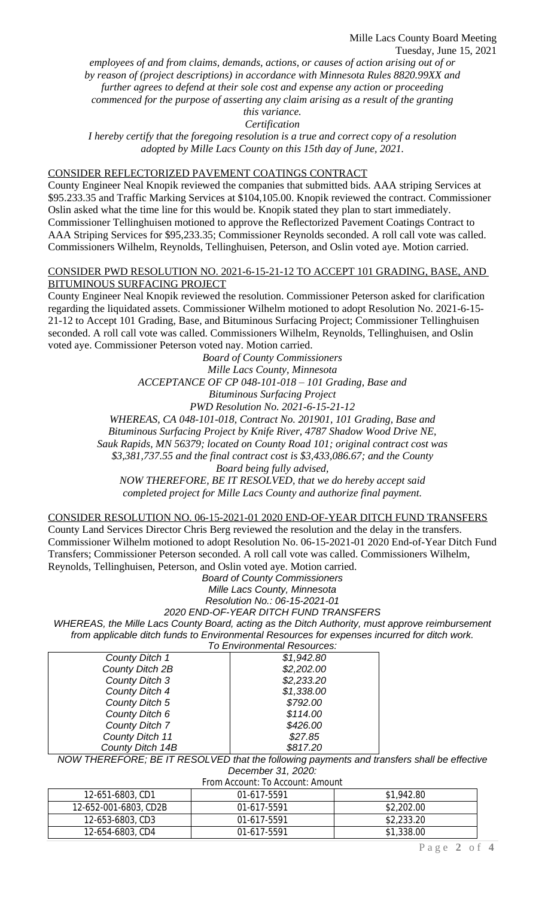*employees of and from claims, demands, actions, or causes of action arising out of or by reason of (project descriptions) in accordance with Minnesota Rules 8820.99XX and further agrees to defend at their sole cost and expense any action or proceeding commenced for the purpose of asserting any claim arising as a result of the granting this variance.*

*Certification*

*I hereby certify that the foregoing resolution is a true and correct copy of a resolution adopted by Mille Lacs County on this 15th day of June, 2021.*

#### CONSIDER REFLECTORIZED PAVEMENT COATINGS CONTRACT

County Engineer Neal Knopik reviewed the companies that submitted bids. AAA striping Services at \$95.233.35 and Traffic Marking Services at \$104,105.00. Knopik reviewed the contract. Commissioner Oslin asked what the time line for this would be. Knopik stated they plan to start immediately. Commissioner Tellinghuisen motioned to approve the Reflectorized Pavement Coatings Contract to AAA Striping Services for \$95,233.35; Commissioner Reynolds seconded. A roll call vote was called. Commissioners Wilhelm, Reynolds, Tellinghuisen, Peterson, and Oslin voted aye. Motion carried.

#### CONSIDER PWD RESOLUTION NO. 2021-6-15-21-12 TO ACCEPT 101 GRADING, BASE, AND BITUMINOUS SURFACING PROJECT

County Engineer Neal Knopik reviewed the resolution. Commissioner Peterson asked for clarification regarding the liquidated assets. Commissioner Wilhelm motioned to adopt Resolution No. 2021-6-15- 21-12 to Accept 101 Grading, Base, and Bituminous Surfacing Project; Commissioner Tellinghuisen seconded. A roll call vote was called. Commissioners Wilhelm, Reynolds, Tellinghuisen, and Oslin voted aye. Commissioner Peterson voted nay. Motion carried.

> *Board of County Commissioners Mille Lacs County, Minnesota ACCEPTANCE OF CP 048-101-018 – 101 Grading, Base and Bituminous Surfacing Project PWD Resolution No. 2021-6-15-21-12 WHEREAS, CA 048-101-018, Contract No. 201901, 101 Grading, Base and Bituminous Surfacing Project by Knife River, 4787 Shadow Wood Drive NE, Sauk Rapids, MN 56379; located on County Road 101; original contract cost was*

*\$3,381,737.55 and the final contract cost is \$3,433,086.67; and the County*

*Board being fully advised,*

*NOW THEREFORE, BE IT RESOLVED, that we do hereby accept said completed project for Mille Lacs County and authorize final payment.*

#### CONSIDER RESOLUTION NO. 06-15-2021-01 2020 END-OF-YEAR DITCH FUND TRANSFERS

County Land Services Director Chris Berg reviewed the resolution and the delay in the transfers. Commissioner Wilhelm motioned to adopt Resolution No. 06-15-2021-01 2020 End-of-Year Ditch Fund Transfers; Commissioner Peterson seconded. A roll call vote was called. Commissioners Wilhelm, Reynolds, Tellinghuisen, Peterson, and Oslin voted aye. Motion carried.

> *Board of County Commissioners Mille Lacs County, Minnesota Resolution No.: 06-15-2021-01 2020 END-OF-YEAR DITCH FUND TRANSFERS*

*WHEREAS, the Mille Lacs County Board, acting as the Ditch Authority, must approve reimbursement from applicable ditch funds to Environmental Resources for expenses incurred for ditch work. To Environmental Resources:*

|                  | TU LIIVII OHINGI KUI TUSUUTUUS. |  |
|------------------|---------------------------------|--|
| County Ditch 1   | \$1,942.80                      |  |
| County Ditch 2B  | \$2,202.00                      |  |
| County Ditch 3   | \$2,233.20                      |  |
| County Ditch 4   | \$1,338.00                      |  |
| County Ditch 5   | \$792.00                        |  |
| County Ditch 6   | \$114.00                        |  |
| County Ditch 7   | \$426.00                        |  |
| County Ditch 11  | \$27.85                         |  |
| County Ditch 14B | \$817.20                        |  |

*NOW THEREFORE; BE IT RESOLVED that the following payments and transfers shall be effective December 31, 2020:*

| From Account: To Account: Amount |             |            |  |
|----------------------------------|-------------|------------|--|
| 12-651-6803, CD1                 | 01-617-5591 | \$1,942.80 |  |
| 12-652-001-6803, CD2B            | 01-617-5591 | \$2,202.00 |  |
| 12-653-6803, CD3                 | 01-617-5591 | \$2,233.20 |  |
| 12-654-6803, CD4                 | 01-617-5591 | \$1,338.00 |  |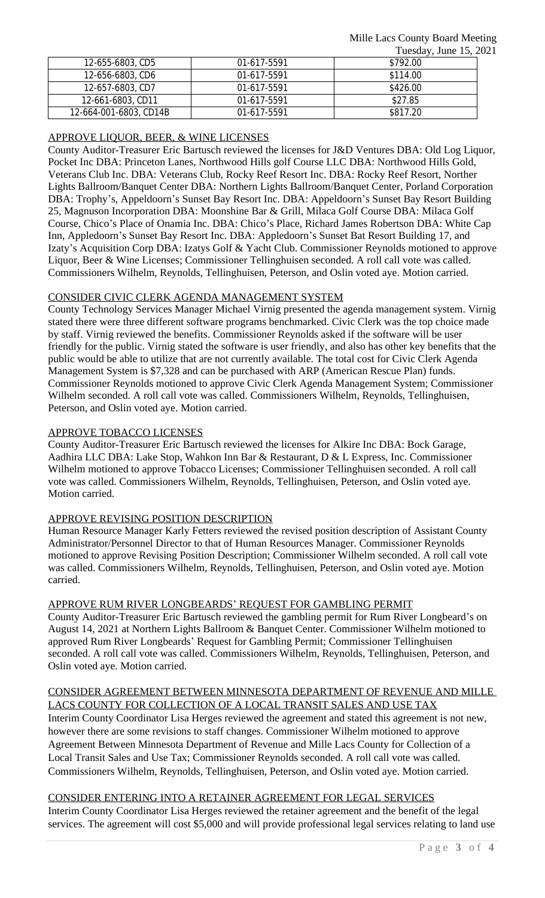|                        |             | 100000, 00000, 0000 |
|------------------------|-------------|---------------------|
| 12-655-6803, CD5       | 01-617-5591 | \$792.00            |
| 12-656-6803, CD6       | 01-617-5591 | \$114.00            |
| 12-657-6803, CD7       | 01-617-5591 | \$426.00            |
| 12-661-6803, CD11      | 01-617-5591 | \$27.85             |
| 12-664-001-6803, CD14B | 01-617-5591 | \$817.20            |

## APPROVE LIQUOR, BEER, & WINE LICENSES

County Auditor-Treasurer Eric Bartusch reviewed the licenses for J&D Ventures DBA: Old Log Liquor, Pocket Inc DBA: Princeton Lanes, Northwood Hills golf Course LLC DBA: Northwood Hills Gold, Veterans Club Inc. DBA: Veterans Club, Rocky Reef Resort Inc. DBA: Rocky Reef Resort, Norther Lights Ballroom/Banquet Center DBA: Northern Lights Ballroom/Banquet Center, Porland Corporation DBA: Trophy's, Appeldoorn's Sunset Bay Resort Inc. DBA: Appeldoorn's Sunset Bay Resort Building 25, Magnuson Incorporation DBA: Moonshine Bar & Grill, Milaca Golf Course DBA: Milaca Golf Course, Chico's Place of Onamia Inc. DBA: Chico's Place, Richard James Robertson DBA: White Cap Inn, Appledoorn's Sunset Bay Resort Inc. DBA: Appledoorn's Sunset Bat Resort Building 17, and Izaty's Acquisition Corp DBA: Izatys Golf & Yacht Club. Commissioner Reynolds motioned to approve Liquor, Beer & Wine Licenses; Commissioner Tellinghuisen seconded. A roll call vote was called. Commissioners Wilhelm, Reynolds, Tellinghuisen, Peterson, and Oslin voted aye. Motion carried.

## CONSIDER CIVIC CLERK AGENDA MANAGEMENT SYSTEM

County Technology Services Manager Michael Virnig presented the agenda management system. Virnig stated there were three different software programs benchmarked. Civic Clerk was the top choice made by staff. Virnig reviewed the benefits. Commissioner Reynolds asked if the software will be user friendly for the public. Virnig stated the software is user friendly, and also has other key benefits that the public would be able to utilize that are not currently available. The total cost for Civic Clerk Agenda Management System is \$7,328 and can be purchased with ARP (American Rescue Plan) funds. Commissioner Reynolds motioned to approve Civic Clerk Agenda Management System; Commissioner Wilhelm seconded. A roll call vote was called. Commissioners Wilhelm, Reynolds, Tellinghuisen, Peterson, and Oslin voted aye. Motion carried.

## APPROVE TOBACCO LICENSES

County Auditor-Treasurer Eric Bartusch reviewed the licenses for Alkire Inc DBA: Bock Garage, Aadhira LLC DBA: Lake Stop, Wahkon Inn Bar & Restaurant, D & L Express, Inc. Commissioner Wilhelm motioned to approve Tobacco Licenses; Commissioner Tellinghuisen seconded. A roll call vote was called. Commissioners Wilhelm, Reynolds, Tellinghuisen, Peterson, and Oslin voted aye. Motion carried.

## APPROVE REVISING POSITION DESCRIPTION

Human Resource Manager Karly Fetters reviewed the revised position description of Assistant County Administrator/Personnel Director to that of Human Resources Manager. Commissioner Reynolds motioned to approve Revising Position Description; Commissioner Wilhelm seconded. A roll call vote was called. Commissioners Wilhelm, Reynolds, Tellinghuisen, Peterson, and Oslin voted aye. Motion carried.

## APPROVE RUM RIVER LONGBEARDS' REQUEST FOR GAMBLING PERMIT

County Auditor-Treasurer Eric Bartusch reviewed the gambling permit for Rum River Longbeard's on August 14, 2021 at Northern Lights Ballroom & Banquet Center. Commissioner Wilhelm motioned to approved Rum River Longbeards' Request for Gambling Permit; Commissioner Tellinghuisen seconded. A roll call vote was called. Commissioners Wilhelm, Reynolds, Tellinghuisen, Peterson, and Oslin voted aye. Motion carried.

# CONSIDER AGREEMENT BETWEEN MINNESOTA DEPARTMENT OF REVENUE AND MILLE LACS COUNTY FOR COLLECTION OF A LOCAL TRANSIT SALES AND USE TAX

Interim County Coordinator Lisa Herges reviewed the agreement and stated this agreement is not new, however there are some revisions to staff changes. Commissioner Wilhelm motioned to approve Agreement Between Minnesota Department of Revenue and Mille Lacs County for Collection of a Local Transit Sales and Use Tax; Commissioner Reynolds seconded. A roll call vote was called. Commissioners Wilhelm, Reynolds, Tellinghuisen, Peterson, and Oslin voted aye. Motion carried.

# CONSIDER ENTERING INTO A RETAINER AGREEMENT FOR LEGAL SERVICES

Interim County Coordinator Lisa Herges reviewed the retainer agreement and the benefit of the legal services. The agreement will cost \$5,000 and will provide professional legal services relating to land use